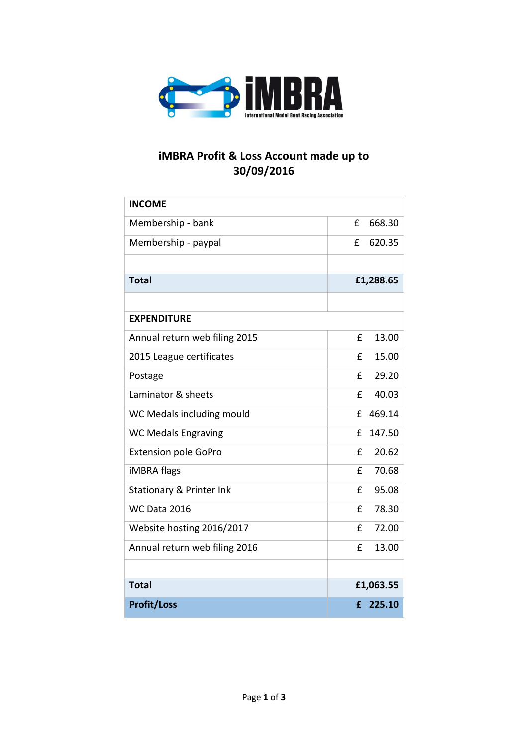

## **iMBRA Profit & Loss Account made up to 30/09/2016**

| <b>INCOME</b>                 |           |        |
|-------------------------------|-----------|--------|
| Membership - bank             | £         | 668.30 |
| Membership - paypal           | £         | 620.35 |
|                               |           |        |
| <b>Total</b>                  | £1,288.65 |        |
|                               |           |        |
| <b>EXPENDITURE</b>            |           |        |
| Annual return web filing 2015 | £         | 13.00  |
| 2015 League certificates      | £         | 15.00  |
| Postage                       | £         | 29.20  |
| Laminator & sheets            | £         | 40.03  |
| WC Medals including mould     | f         | 469.14 |
| <b>WC Medals Engraving</b>    | £         | 147.50 |
| <b>Extension pole GoPro</b>   | £         | 20.62  |
| iMBRA flags                   | £         | 70.68  |
| Stationary & Printer Ink      | £         | 95.08  |
| <b>WC Data 2016</b>           | £         | 78.30  |
| Website hosting 2016/2017     | £         | 72.00  |
| Annual return web filing 2016 | £         | 13.00  |
|                               |           |        |
| <b>Total</b>                  | £1,063.55 |        |
| <b>Profit/Loss</b>            | £         | 225.10 |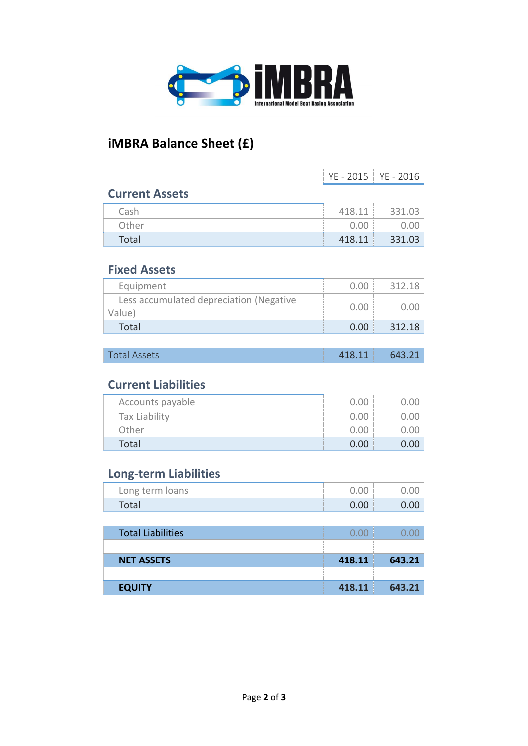

## **iMBRA Balance Sheet (£)**

|                                                   | YE - 2015 | YE - 2016 |
|---------------------------------------------------|-----------|-----------|
| <b>Current Assets</b>                             |           |           |
| Cash                                              | 418.11    | 331.03    |
| Other                                             | 0.00      | 0.00      |
| Total                                             | 418.11    | 331.03    |
| <b>Fixed Assets</b>                               |           |           |
| Equipment                                         | 0.00      | 312.18    |
| Less accumulated depreciation (Negative<br>Value) | 0.00      | 0.00      |
| <b>Total</b>                                      | 0.00      | 312.18    |
|                                                   |           |           |
| <b>Total Assets</b>                               | 418.11    | 643.21    |
| <b>Current Liabilities</b>                        |           |           |
| Accounts payable                                  | 0.00      | 0.00      |
| <b>Tax Liability</b>                              | 0.00      | 0.00      |
| Other                                             | 0.00      | 0.00      |
| <b>Total</b>                                      | 0.00      | 0.00      |
| <b>Long-term Liabilities</b>                      |           |           |
| Long term loans                                   | 0.00      | 0.00      |
| <b>Total</b>                                      | 0.00      | 0.00      |
|                                                   |           |           |
| <b>Total Liabilities</b>                          | 0.00      | 0.00      |
|                                                   |           |           |
| <b>NET ASSETS</b>                                 | 418.11    | 643.21    |
| <b>EQUITY</b>                                     | 418.11    | 643.21    |